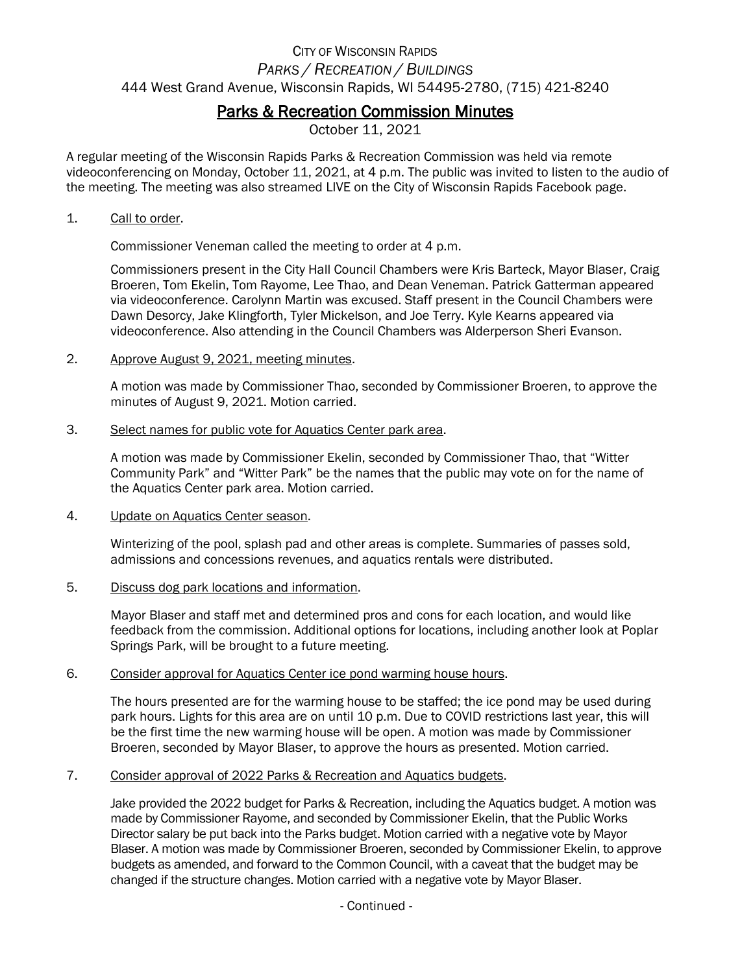# CITY OF WISCONSIN RAPIDS *PARKS / RECREATION / BUILDINGS* 444 West Grand Avenue, Wisconsin Rapids, WI 54495-2780, (715) 421-8240

# Parks & Recreation Commission Minutes

October 11, 2021

A regular meeting of the Wisconsin Rapids Parks & Recreation Commission was held via remote videoconferencing on Monday, October 11, 2021, at 4 p.m. The public was invited to listen to the audio of the meeting. The meeting was also streamed LIVE on the City of Wisconsin Rapids Facebook page.

#### 1. Call to order.

Commissioner Veneman called the meeting to order at 4 p.m.

Commissioners present in the City Hall Council Chambers were Kris Barteck, Mayor Blaser, Craig Broeren, Tom Ekelin, Tom Rayome, Lee Thao, and Dean Veneman. Patrick Gatterman appeared via videoconference. Carolynn Martin was excused. Staff present in the Council Chambers were Dawn Desorcy, Jake Klingforth, Tyler Mickelson, and Joe Terry. Kyle Kearns appeared via videoconference. Also attending in the Council Chambers was Alderperson Sheri Evanson.

#### 2. Approve August 9, 2021, meeting minutes.

A motion was made by Commissioner Thao, seconded by Commissioner Broeren, to approve the minutes of August 9, 2021. Motion carried.

#### 3. Select names for public vote for Aquatics Center park area.

A motion was made by Commissioner Ekelin, seconded by Commissioner Thao, that "Witter Community Park" and "Witter Park" be the names that the public may vote on for the name of the Aquatics Center park area. Motion carried.

#### 4. Update on Aquatics Center season.

Winterizing of the pool, splash pad and other areas is complete. Summaries of passes sold, admissions and concessions revenues, and aquatics rentals were distributed.

#### 5. Discuss dog park locations and information.

Mayor Blaser and staff met and determined pros and cons for each location, and would like feedback from the commission. Additional options for locations, including another look at Poplar Springs Park, will be brought to a future meeting.

#### 6. Consider approval for Aquatics Center ice pond warming house hours.

The hours presented are for the warming house to be staffed; the ice pond may be used during park hours. Lights for this area are on until 10 p.m. Due to COVID restrictions last year, this will be the first time the new warming house will be open. A motion was made by Commissioner Broeren, seconded by Mayor Blaser, to approve the hours as presented. Motion carried.

#### 7. Consider approval of 2022 Parks & Recreation and Aquatics budgets.

Jake provided the 2022 budget for Parks & Recreation, including the Aquatics budget. A motion was made by Commissioner Rayome, and seconded by Commissioner Ekelin, that the Public Works Director salary be put back into the Parks budget. Motion carried with a negative vote by Mayor Blaser. A motion was made by Commissioner Broeren, seconded by Commissioner Ekelin, to approve budgets as amended, and forward to the Common Council, with a caveat that the budget may be changed if the structure changes. Motion carried with a negative vote by Mayor Blaser.